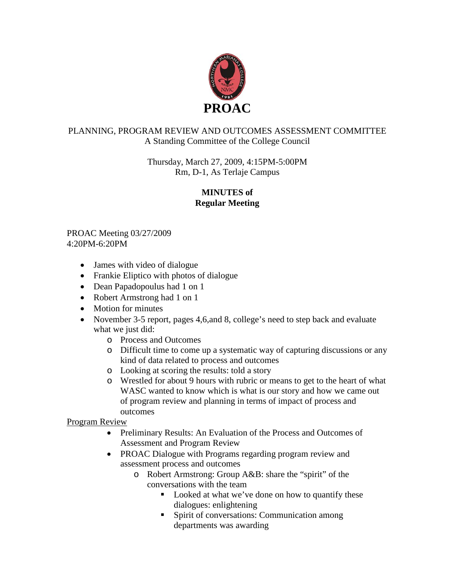

## PLANNING, PROGRAM REVIEW AND OUTCOMES ASSESSMENT COMMITTEE A Standing Committee of the College Council

Thursday, March 27, 2009, 4:15PM-5:00PM Rm, D-1, As Terlaje Campus

## **MINUTES of Regular Meeting**

PROAC Meeting 03/27/2009 4:20PM-6:20PM

- James with video of dialogue
- Frankie Eliptico with photos of dialogue
- Dean Papadopoulus had 1 on 1
- Robert Armstrong had 1 on 1
- Motion for minutes
- November 3-5 report, pages 4,6, and 8, college's need to step back and evaluate what we just did:
	- o Process and Outcomes
	- o Difficult time to come up a systematic way of capturing discussions or any kind of data related to process and outcomes
	- o Looking at scoring the results: told a story
	- o Wrestled for about 9 hours with rubric or means to get to the heart of what WASC wanted to know which is what is our story and how we came out of program review and planning in terms of impact of process and outcomes

Program Review

- Preliminary Results: An Evaluation of the Process and Outcomes of Assessment and Program Review
- PROAC Dialogue with Programs regarding program review and assessment process and outcomes
	- o Robert Armstrong: Group A&B: share the "spirit" of the conversations with the team
		- Looked at what we've done on how to quantify these dialogues: enlightening
		- **Spirit of conversations: Communication among** departments was awarding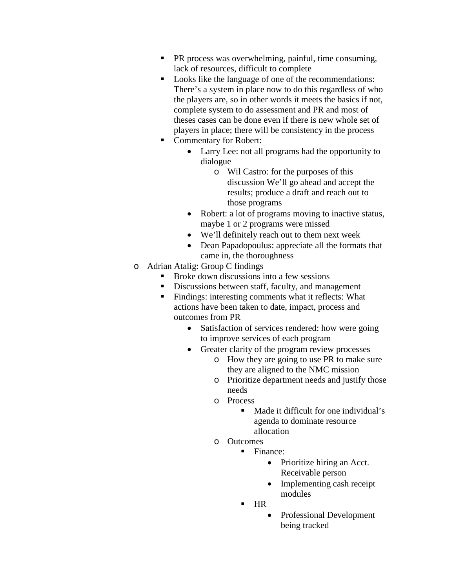- **PR** process was overwhelming, painful, time consuming, lack of resources, difficult to complete
- Looks like the language of one of the recommendations: There's a system in place now to do this regardless of who the players are, so in other words it meets the basics if not, complete system to do assessment and PR and most of theses cases can be done even if there is new whole set of players in place; there will be consistency in the process
- Commentary for Robert:
	- Larry Lee: not all programs had the opportunity to dialogue
		- o Wil Castro: for the purposes of this discussion We'll go ahead and accept the results; produce a draft and reach out to those programs
	- Robert: a lot of programs moving to inactive status, maybe 1 or 2 programs were missed
	- We'll definitely reach out to them next week
	- Dean Papadopoulus: appreciate all the formats that came in, the thoroughness
- o Adrian Atalig: Group C findings
	- Broke down discussions into a few sessions
	- Discussions between staff, faculty, and management
	- **Findings: interesting comments what it reflects: What** actions have been taken to date, impact, process and outcomes from PR
		- Satisfaction of services rendered: how were going to improve services of each program
		- Greater clarity of the program review processes
			- o How they are going to use PR to make sure they are aligned to the NMC mission
			- o Prioritize department needs and justify those needs
			- o Process
				- Made it difficult for one individual's agenda to dominate resource allocation
			- o Outcomes
				- Finance:
					- Prioritize hiring an Acct. Receivable person
					- Implementing cash receipt modules
					- HR
						- Professional Development being tracked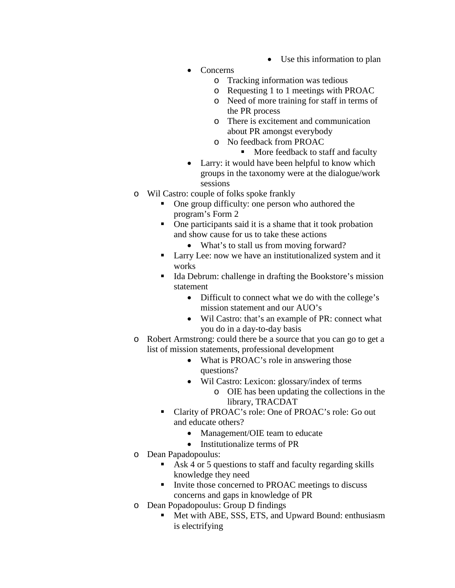- Use this information to plan
- Concerns
	- o Tracking information was tedious
	- o Requesting 1 to 1 meetings with PROAC
	- o Need of more training for staff in terms of the PR process
	- o There is excitement and communication about PR amongst everybody
	- o No feedback from PROAC
		- More feedback to staff and faculty
- Larry: it would have been helpful to know which groups in the taxonomy were at the dialogue/work sessions
- o Wil Castro: couple of folks spoke frankly
	- One group difficulty: one person who authored the program's Form 2
	- One participants said it is a shame that it took probation and show cause for us to take these actions
		- What's to stall us from moving forward?
	- **Larry Lee:** now we have an institutionalized system and it works
	- Ida Debrum: challenge in drafting the Bookstore's mission statement
		- Difficult to connect what we do with the college's mission statement and our AUO's
		- Wil Castro: that's an example of PR: connect what you do in a day-to-day basis
- o Robert Armstrong: could there be a source that you can go to get a list of mission statements, professional development
	- What is PROAC's role in answering those questions?
	- Wil Castro: Lexicon: glossary/index of terms
		- o OIE has been updating the collections in the library, TRACDAT
	- Clarity of PROAC's role: One of PROAC's role: Go out and educate others?
		- Management/OIE team to educate
		- Institutionalize terms of PR
- o Dean Papadopoulus:
	- Ask 4 or 5 questions to staff and faculty regarding skills knowledge they need
	- Invite those concerned to PROAC meetings to discuss concerns and gaps in knowledge of PR
- o Dean Popadopoulus: Group D findings
	- Met with ABE, SSS, ETS, and Upward Bound: enthusiasm is electrifying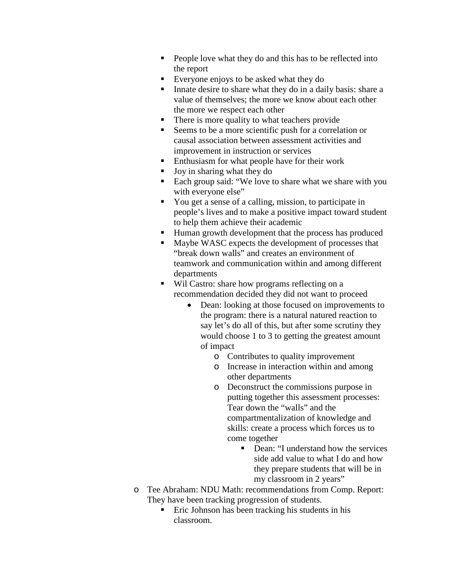- People love what they do and this has to be reflected into the report
- Everyone enjoys to be asked what they do
- Innate desire to share what they do in a daily basis: share a value of themselves; the more we know about each other the more we respect each other
- There is more quality to what teachers provide
- Seems to be a more scientific push for a correlation or causal association between assessment activities and improvement in instruction or services
- Enthusiasm for what people have for their work
- Joy in sharing what they do
- Each group said: "We love to share what we share with you with everyone else"
- You get a sense of a calling, mission, to participate in people's lives and to make a positive impact toward student to help them achieve their academic
- Human growth development that the process has produced
- Maybe WASC expects the development of processes that "break down walls" and creates an environment of teamwork and communication within and among different departments
- Wil Castro: share how programs reflecting on a recommendation decided they did not want to proceed
	- Dean: looking at those focused on improvements to the program: there is a natural natured reaction to say let's do all of this, but after some scrutiny they would choose 1 to 3 to getting the greatest amount of impact
		- o Contributes to quality improvement
		- o Increase in interaction within and among other departments
		- o Deconstruct the commissions purpose in putting together this assessment processes: Tear down the "walls" and the compartmentalization of knowledge and skills: create a process which forces us to come together
			- Dean: "I understand how the services side add value to what I do and how they prepare students that will be in my classroom in 2 years"
- o Tee Abraham: NDU Math: recommendations from Comp. Report: They have been tracking progression of students.
	- **Example 1** Eric Johnson has been tracking his students in his classroom.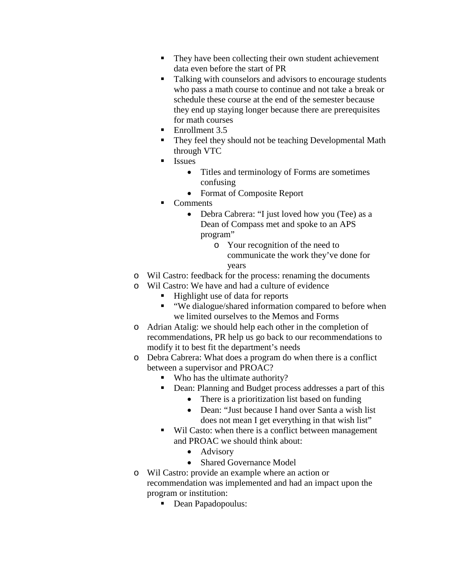- They have been collecting their own student achievement data even before the start of PR
- Talking with counselors and advisors to encourage students who pass a math course to continue and not take a break or schedule these course at the end of the semester because they end up staying longer because there are prerequisites for math courses
- Enrollment 3.5
- They feel they should not be teaching Developmental Math through VTC
- **I**ssues
	- Titles and terminology of Forms are sometimes confusing
	- Format of Composite Report
- Comments
	- Debra Cabrera: "I just loved how you (Tee) as a Dean of Compass met and spoke to an APS program"
		- o Your recognition of the need to communicate the work they've done for years
- o Wil Castro: feedback for the process: renaming the documents
- o Wil Castro: We have and had a culture of evidence
	- Highlight use of data for reports
	- "We dialogue/shared information compared to before when we limited ourselves to the Memos and Forms
- o Adrian Atalig: we should help each other in the completion of recommendations, PR help us go back to our recommendations to modify it to best fit the department's needs
- o Debra Cabrera: What does a program do when there is a conflict between a supervisor and PROAC?
	- Who has the ultimate authority?
	- Dean: Planning and Budget process addresses a part of this
		- There is a prioritization list based on funding
		- Dean: "Just because I hand over Santa a wish list does not mean I get everything in that wish list"
	- Wil Casto: when there is a conflict between management and PROAC we should think about:
		- Advisory
		- Shared Governance Model
- o Wil Castro: provide an example where an action or recommendation was implemented and had an impact upon the program or institution:
	- Dean Papadopoulus: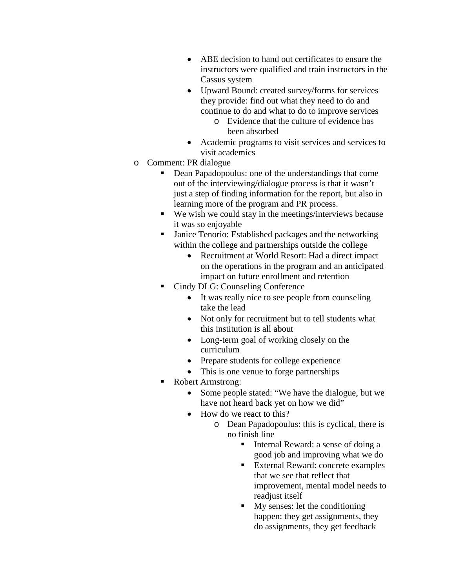- ABE decision to hand out certificates to ensure the instructors were qualified and train instructors in the Cassus system
- Upward Bound: created survey/forms for services they provide: find out what they need to do and continue to do and what to do to improve services
	- o Evidence that the culture of evidence has been absorbed
- Academic programs to visit services and services to visit academics
- o Comment: PR dialogue
	- Dean Papadopoulus: one of the understandings that come out of the interviewing/dialogue process is that it wasn't just a step of finding information for the report, but also in learning more of the program and PR process.
	- $\blacksquare$  We wish we could stay in the meetings/interviews because it was so enjoyable
	- Janice Tenorio: Established packages and the networking within the college and partnerships outside the college
		- Recruitment at World Resort: Had a direct impact on the operations in the program and an anticipated impact on future enrollment and retention
	- Cindy DLG: Counseling Conference
		- It was really nice to see people from counseling take the lead
		- Not only for recruitment but to tell students what this institution is all about
		- Long-term goal of working closely on the curriculum
		- Prepare students for college experience
		- This is one venue to forge partnerships
	- Robert Armstrong:
		- Some people stated: "We have the dialogue, but we have not heard back yet on how we did"
		- How do we react to this?
			- o Dean Papadopoulus: this is cyclical, there is no finish line
				- Internal Reward: a sense of doing a good job and improving what we do
				- External Reward: concrete examples that we see that reflect that improvement, mental model needs to readjust itself
				- My senses: let the conditioning happen: they get assignments, they do assignments, they get feedback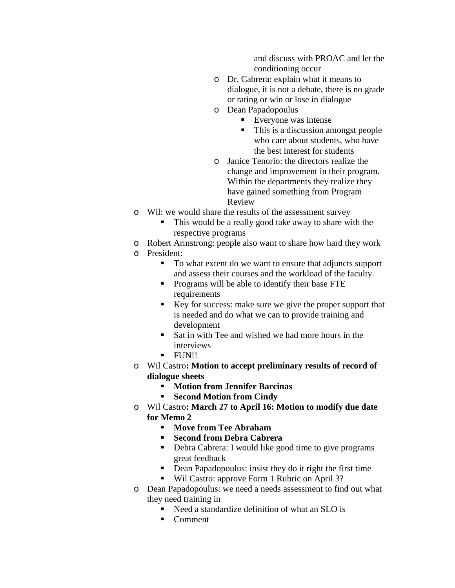and discuss with PROAC and let the conditioning occur

- o Dr. Cabrera: explain what it means to dialogue, it is not a debate, there is no grade or rating or win or lose in dialogue
- o Dean Papadopoulus
	- **Everyone was intense**
	- This is a discussion amongst people who care about students, who have the best interest for students
- o Janice Tenorio: the directors realize the change and improvement in their program. Within the departments they realize they have gained something from Program Review
- o Wil: we would share the results of the assessment survey
	- This would be a really good take away to share with the respective programs
- o Robert Armstrong: people also want to share how hard they work
- o President:
	- To what extent do we want to ensure that adjuncts support and assess their courses and the workload of the faculty.
	- **Programs will be able to identify their base FTE** requirements
	- Key for success: make sure we give the proper support that is needed and do what we can to provide training and development
	- Sat in with Tee and wished we had more hours in the interviews
	- **FUN!!**
- o Wil Castro**: Motion to accept preliminary results of record of dialogue sheets**
	- **Motion from Jennifer Barcinas**
	- **Second Motion from Cindy**
- o Wil Castro**: March 27 to April 16: Motion to modify due date for Memo 2**
	- **Move from Tee Abraham**
	- **Second from Debra Cabrera**
	- Debra Cabrera: I would like good time to give programs great feedback
	- **•** Dean Papadopoulus: insist they do it right the first time
	- Wil Castro: approve Form 1 Rubric on April 3?
- o Dean Papadopoulus: we need a needs assessment to find out what they need training in
	- Need a standardize definition of what an SLO is
	- Comment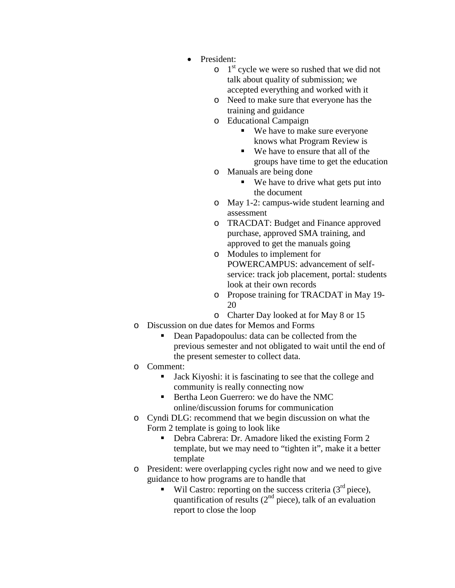- President:
	- $\circ$  1<sup>st</sup> cycle we were so rushed that we did not talk about quality of submission; we accepted everything and worked with it
	- o Need to make sure that everyone has the training and guidance
	- o Educational Campaign
		- We have to make sure everyone knows what Program Review is
		- We have to ensure that all of the groups have time to get the education
	- $\circ$  Manuals are being done<br>We have to drive
		- We have to drive what gets put into the document
	- o May 1-2: campus-wide student learning and assessment
	- o TRACDAT: Budget and Finance approved purchase, approved SMA training, and approved to get the manuals going
	- o Modules to implement for POWERCAMPUS: advancement of selfservice: track job placement, portal: students look at their own records
	- o Propose training for TRACDAT in May 19- 20
	- o Charter Day looked at for May 8 or 15
- o Discussion on due dates for Memos and Forms
	- Dean Papadopoulus: data can be collected from the previous semester and not obligated to wait until the end of the present semester to collect data.
- o Comment:
	- Jack Kiyoshi: it is fascinating to see that the college and community is really connecting now
	- Bertha Leon Guerrero: we do have the NMC online/discussion forums for communication
- o Cyndi DLG: recommend that we begin discussion on what the Form 2 template is going to look like
	- Debra Cabrera: Dr. Amadore liked the existing Form 2 template, but we may need to "tighten it", make it a better template
- o President: were overlapping cycles right now and we need to give guidance to how programs are to handle that
	- Wil Castro: reporting on the success criteria  $(3<sup>rd</sup>$  piece), quantification of results  $(2<sup>nd</sup> piece)$ , talk of an evaluation report to close the loop